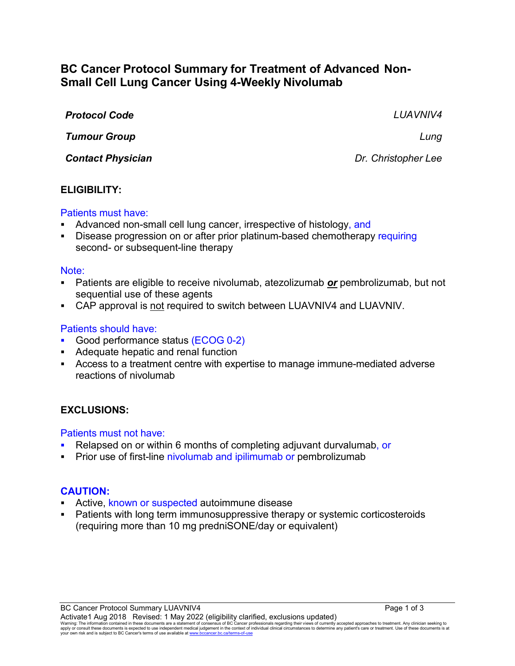# **BC Cancer Protocol Summary for Treatment of Advanced Non-Small Cell Lung Cancer Using 4-Weekly Nivolumab**

| <b>Protocol Code</b>     | <b>LUAVNIV4</b>     |
|--------------------------|---------------------|
| <b>Tumour Group</b>      | Lung                |
| <b>Contact Physician</b> | Dr. Christopher Lee |

### **ELIGIBILITY:**

#### Patients must have:

- Advanced non-small cell lung cancer, irrespective of histology, and
- Disease progression on or after prior platinum-based chemotherapy requiring second- or subsequent-line therapy

#### Note:

- Patients are eligible to receive nivolumab, atezolizumab *or* pembrolizumab, but not sequential use of these agents
- CAP approval is not required to switch between LUAVNIV4 and LUAVNIV.

### Patients should have:

- Good performance status (ECOG 0-2)
- **Adequate hepatic and renal function**
- Access to a treatment centre with expertise to manage immune-mediated adverse reactions of nivolumab

### **EXCLUSIONS:**

#### Patients must not have:

- Relapsed on or within 6 months of completing adjuvant durvalumab, or
- Prior use of first-line nivolumab and ipilimumab or pembrolizumab

### **CAUTION:**

- Active, known or suspected autoimmune disease
- Patients with long term immunosuppressive therapy or systemic corticosteroids (requiring more than 10 mg predniSONE/day or equivalent)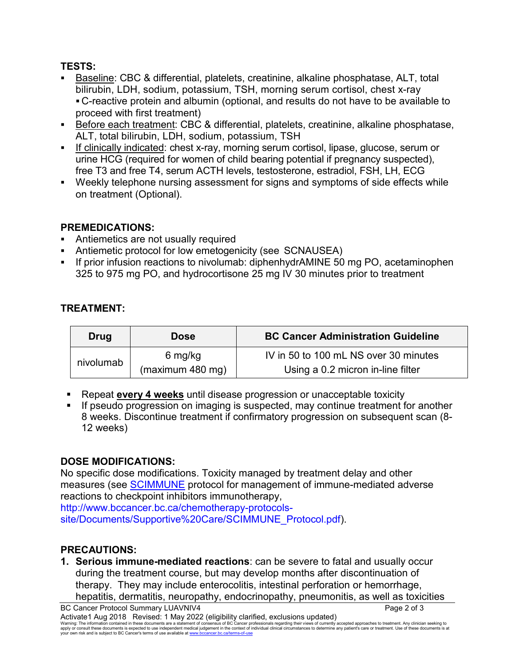### **TESTS:**

- Baseline: CBC & differential, platelets, creatinine, alkaline phosphatase, ALT, total bilirubin, LDH, sodium, potassium, TSH, morning serum cortisol, chest x-ray C-reactive protein and albumin (optional, and results do not have to be available to proceed with first treatment)
- Before each treatment: CBC & differential, platelets, creatinine, alkaline phosphatase, ALT, total bilirubin, LDH, sodium, potassium, TSH
- If clinically indicated: chest x-ray, morning serum cortisol, lipase, glucose, serum or urine HCG (required for women of child bearing potential if pregnancy suspected), free T3 and free T4, serum ACTH levels, testosterone, estradiol, FSH, LH, ECG
- Weekly telephone nursing assessment for signs and symptoms of side effects while on treatment (Optional).

## **PREMEDICATIONS:**

- Antiemetics are not usually required
- Antiemetic protocol for low emetogenicity (see SCNAUSEA)
- If prior infusion reactions to nivolumab: diphenhydrAMINE 50 mg PO, acetaminophen 325 to 975 mg PO, and hydrocortisone 25 mg IV 30 minutes prior to treatment

## **TREATMENT:**

| Drug      | <b>Dose</b>      | <b>BC Cancer Administration Guideline</b> |
|-----------|------------------|-------------------------------------------|
| nivolumab | 6 mg/kg          | IV in 50 to 100 mL NS over 30 minutes     |
|           | (maximum 480 mg) | Using a 0.2 micron in-line filter         |

- Repeat **every 4 weeks** until disease progression or unacceptable toxicity
- If pseudo progression on imaging is suspected, may continue treatment for another 8 weeks. Discontinue treatment if confirmatory progression on subsequent scan (8- 12 weeks)

## **DOSE MODIFICATIONS:**

No specific dose modifications. Toxicity managed by treatment delay and other measures (see [SCIMMUNE](http://www.bccancer.bc.ca/chemotherapy-protocols-site/Documents/Supportive%20Care/SCIMMUNE_Protocol.pdf) protocol for management of immune-mediated adverse reactions to checkpoint inhibitors immunotherapy,

http://www.bccancer.bc.ca/chemotherapy-protocolssite/Documents/Supportive%20Care/SCIMMUNE\_Protocol.pdf).

## **PRECAUTIONS:**

**1. Serious immune-mediated reactions**: can be severe to fatal and usually occur during the treatment course, but may develop months after discontinuation of therapy. They may include enterocolitis, intestinal perforation or hemorrhage, hepatitis, dermatitis, neuropathy, endocrinopathy, pneumonitis, as well as toxicities

BC Cancer Protocol Summary LUAVNIV4 **Page 2 of 3** Activate1 Aug 2018 Revised: 1 May 2022 (eligibility clarified, exclusions updated)

Waming: The information contained in these documents are a statement of consensus of BC Cancer professionals regarding their views of currently accepted approaches to treatment. Any clinicial seeking to<br>apply or consult th your own risk and is subject to BC Cancer's terms of use available a[t www.bccancer.bc.ca/terms-of-use](http://www.bccancer.bc.ca/terms-of-use)